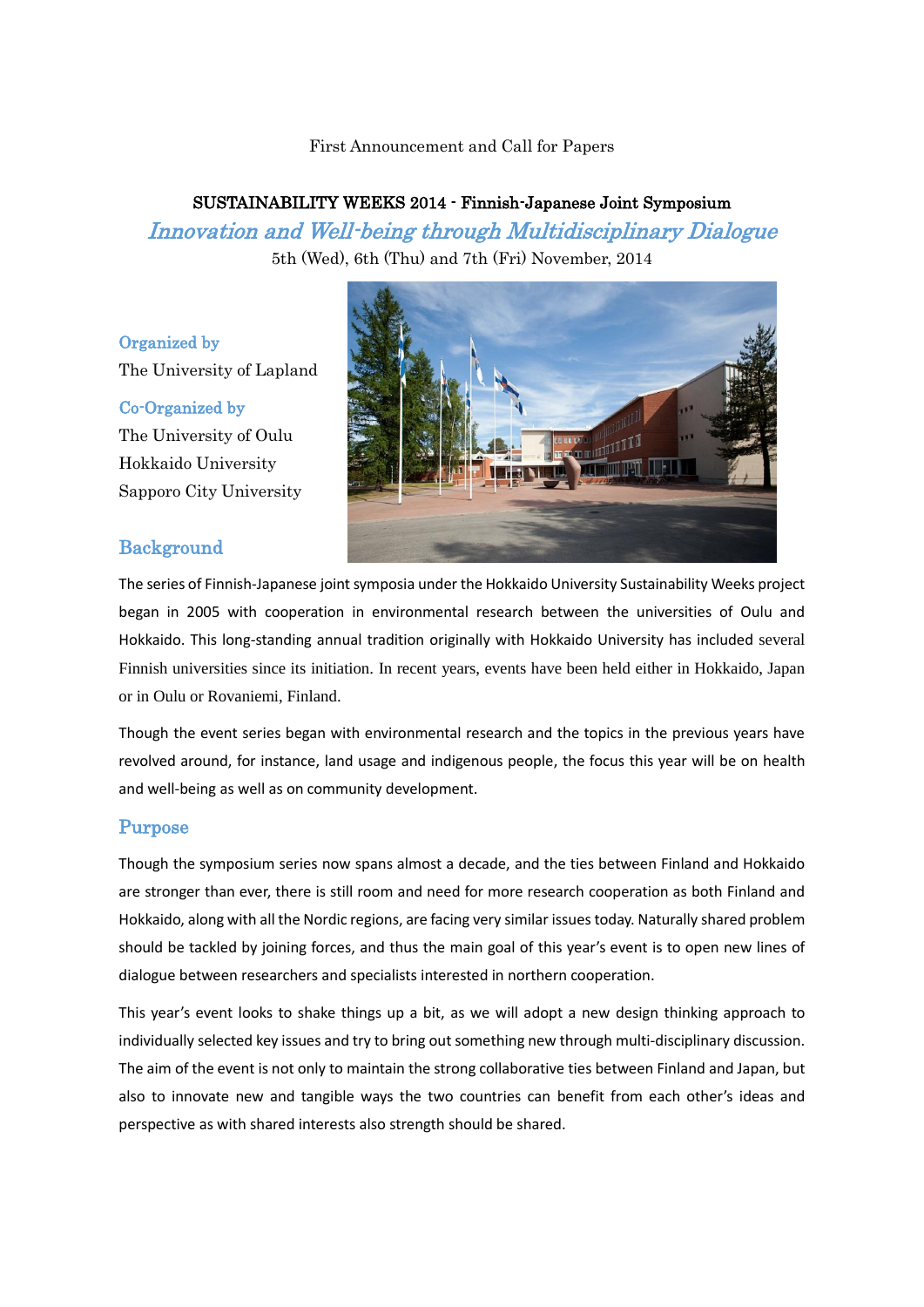### First Announcement and Call for Papers

# SUSTAINABILITY WEEKS 2014 - Finnish-Japanese Joint Symposium Innovation and Well-being through Multidisciplinary Dialogue

5th (Wed), 6th (Thu) and 7th (Fri) November, 2014

## Organized by

The University of Lapland

### Co-Organized by

The University of Oulu Hokkaido University Sapporo City University



# **Background**

The series of Finnish-Japanese joint symposia under the Hokkaido University Sustainability Weeks project began in 2005 with cooperation in environmental research between the universities of Oulu and Hokkaido. This long-standing annual tradition originally with Hokkaido University has included several Finnish universities since its initiation. In recent years, events have been held either in Hokkaido, Japan or in Oulu or Rovaniemi, Finland.

Though the event series began with environmental research and the topics in the previous years have revolved around, for instance, land usage and indigenous people, the focus this year will be on health and well-being as well as on community development.

## Purpose

Though the symposium series now spans almost a decade, and the ties between Finland and Hokkaido are stronger than ever, there is still room and need for more research cooperation as both Finland and Hokkaido, along with all the Nordic regions, are facing very similar issues today. Naturally shared problem should be tackled by joining forces, and thus the main goal of this year's event is to open new lines of dialogue between researchers and specialists interested in northern cooperation.

This year's event looks to shake things up a bit, as we will adopt a new design thinking approach to individually selected key issues and try to bring out something new through multi-disciplinary discussion. The aim of the event is not only to maintain the strong collaborative ties between Finland and Japan, but also to innovate new and tangible ways the two countries can benefit from each other's ideas and perspective as with shared interests also strength should be shared.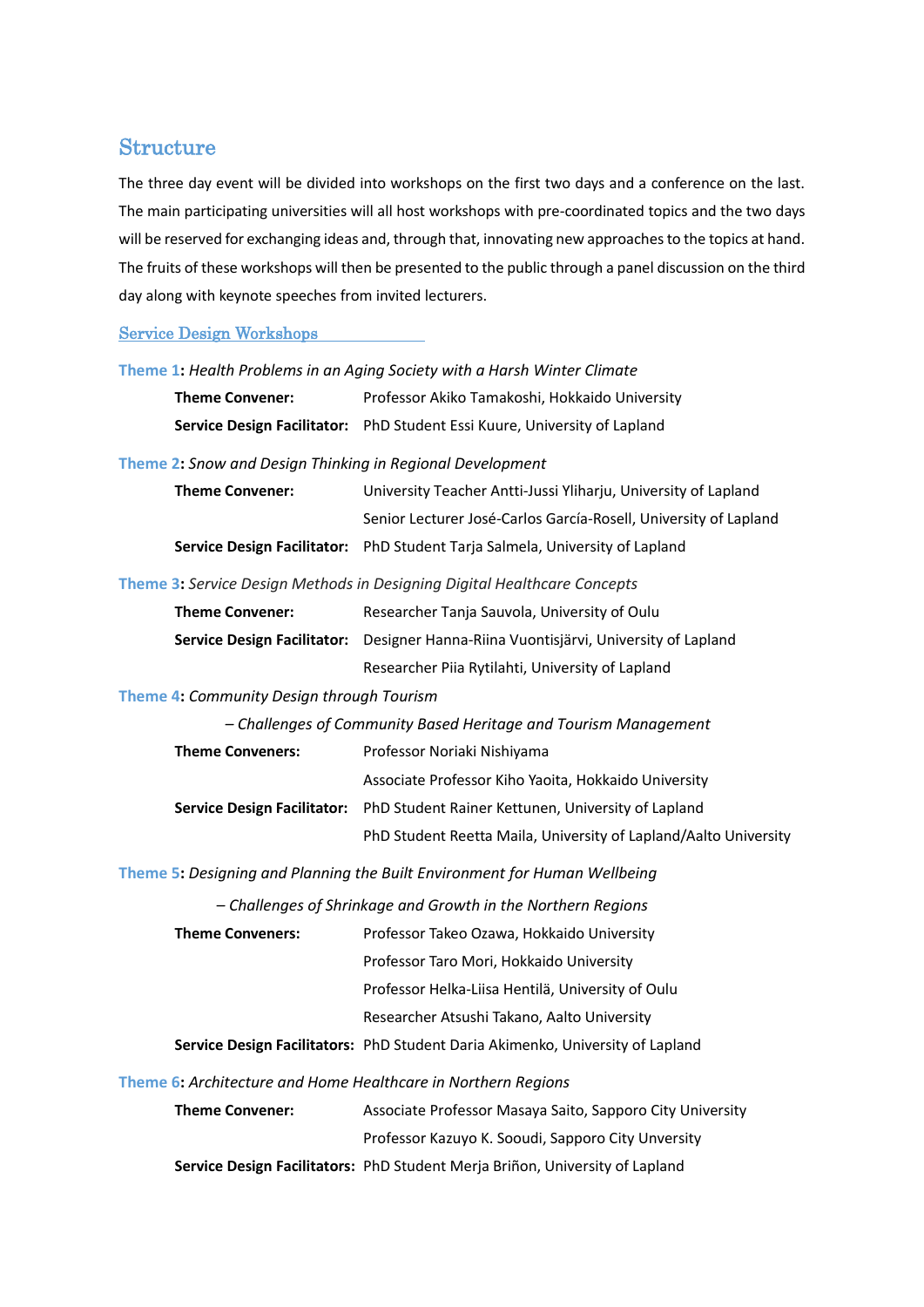# Structure

The three day event will be divided into workshops on the first two days and a conference on the last. The main participating universities will all host workshops with pre-coordinated topics and the two days will be reserved for exchanging ideas and, through that, innovating new approaches to the topics at hand. The fruits of these workshops will then be presented to the public through a panel discussion on the third day along with keynote speeches from invited lecturers.

## Service Design Workshops

|                                                           | Theme 1: Health Problems in an Aging Society with a Harsh Winter Climate     |  |  |  |
|-----------------------------------------------------------|------------------------------------------------------------------------------|--|--|--|
| <b>Theme Convener:</b>                                    | Professor Akiko Tamakoshi, Hokkaido University                               |  |  |  |
|                                                           | Service Design Facilitator: PhD Student Essi Kuure, University of Lapland    |  |  |  |
| Theme 2: Snow and Design Thinking in Regional Development |                                                                              |  |  |  |
| <b>Theme Convener:</b>                                    | University Teacher Antti-Jussi Yliharju, University of Lapland               |  |  |  |
|                                                           | Senior Lecturer José-Carlos García-Rosell, University of Lapland             |  |  |  |
|                                                           | Service Design Facilitator: PhD Student Tarja Salmela, University of Lapland |  |  |  |
|                                                           | Theme 3: Service Design Methods in Designing Digital Healthcare Concepts     |  |  |  |
| Theme Convener:                                           | Researcher Tanja Sauvola Hniversity of Oulu                                  |  |  |  |

| <b>Theme Convener:</b> | Researcher Tanja Sauvola, University of Oulu                                         |
|------------------------|--------------------------------------------------------------------------------------|
|                        | Service Design Facilitator: Designer Hanna-Riina Vuontisjärvi, University of Lapland |
|                        | Researcher Pija Rytilahti, University of Lapland                                     |

**Theme 4:** *Community Design through Tourism*

| <b>Theme Conveners:</b> | Professor Noriaki Nishiyama                                                           |  |
|-------------------------|---------------------------------------------------------------------------------------|--|
|                         | Associate Professor Kiho Yaoita, Hokkaido University                                  |  |
|                         | <b>Service Design Facilitator:</b> PhD Student Rainer Kettunen, University of Lapland |  |
|                         | PhD Student Reetta Maila, University of Lapland/Aalto University                      |  |

**Theme 5:** *Designing and Planning the Built Environment for Human Wellbeing*

*– Challenges of Shrinkage and Growth in the Northern Regions*

**Theme Conveners:** Professor Takeo Ozawa, Hokkaido University

Professor Taro Mori, Hokkaido University

Professor Helka-Liisa Hentilä, University of Oulu

Researcher Atsushi Takano, Aalto University

**Service Design Facilitators:** PhD Student Daria Akimenko, University of Lapland

**Theme 6:** *Architecture and Home Healthcare in Northern Regions*

**Theme Convener:** Associate Professor Masaya Saito, Sapporo City University Professor Kazuyo K. Sooudi, Sapporo City Unversity

**Service Design Facilitators:** PhD Student Merja Briñon, University of Lapland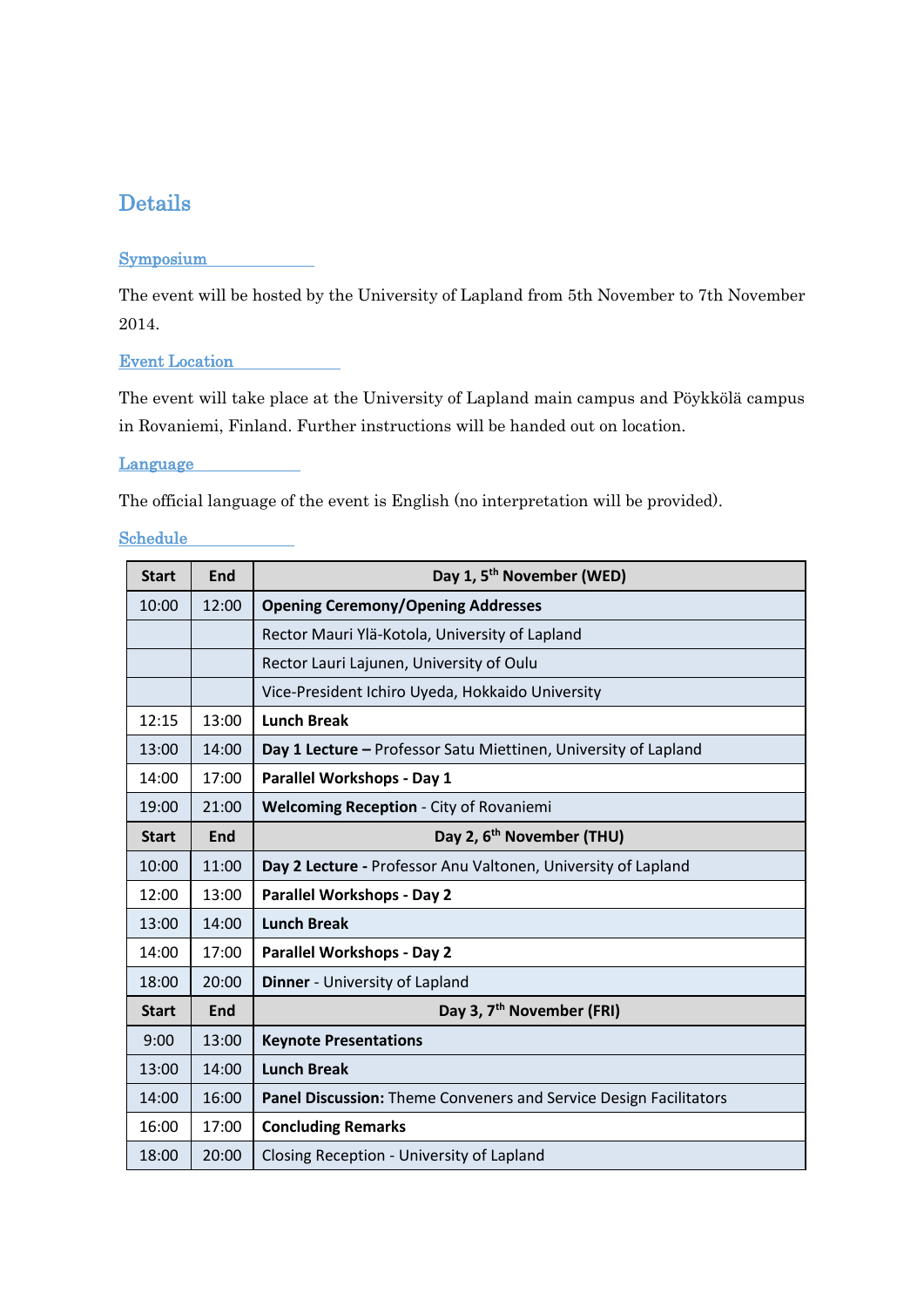# Details

# **Symposium**

The event will be hosted by the University of Lapland from 5th November to 7th November 2014.

Event Location

The event will take place at the University of Lapland main campus and Pöykkölä campus in Rovaniemi, Finland. Further instructions will be handed out on location.

**Language** 

The official language of the event is English (no interpretation will be provided).

# Schedule

| <b>Start</b> | <b>End</b> | Day 1, 5 <sup>th</sup> November (WED)                             |
|--------------|------------|-------------------------------------------------------------------|
| 10:00        | 12:00      | <b>Opening Ceremony/Opening Addresses</b>                         |
|              |            | Rector Mauri Ylä-Kotola, University of Lapland                    |
|              |            | Rector Lauri Lajunen, University of Oulu                          |
|              |            | Vice-President Ichiro Uyeda, Hokkaido University                  |
| 12:15        | 13:00      | <b>Lunch Break</b>                                                |
| 13:00        | 14:00      | Day 1 Lecture - Professor Satu Miettinen, University of Lapland   |
| 14:00        | 17:00      | Parallel Workshops - Day 1                                        |
| 19:00        | 21:00      | <b>Welcoming Reception - City of Rovaniemi</b>                    |
| <b>Start</b> | <b>End</b> | Day 2, 6 <sup>th</sup> November (THU)                             |
| 10:00        | 11:00      | Day 2 Lecture - Professor Anu Valtonen, University of Lapland     |
| 12:00        | 13:00      | <b>Parallel Workshops - Day 2</b>                                 |
| 13:00        | 14:00      | <b>Lunch Break</b>                                                |
| 14:00        | 17:00      | <b>Parallel Workshops - Day 2</b>                                 |
| 18:00        | 20:00      | Dinner - University of Lapland                                    |
| <b>Start</b> | <b>End</b> | Day 3, 7 <sup>th</sup> November (FRI)                             |
| 9:00         | 13:00      | <b>Keynote Presentations</b>                                      |
| 13:00        | 14:00      | <b>Lunch Break</b>                                                |
| 14:00        | 16:00      | Panel Discussion: Theme Conveners and Service Design Facilitators |
| 16:00        | 17:00      | <b>Concluding Remarks</b>                                         |
| 18:00        | 20:00      | Closing Reception - University of Lapland                         |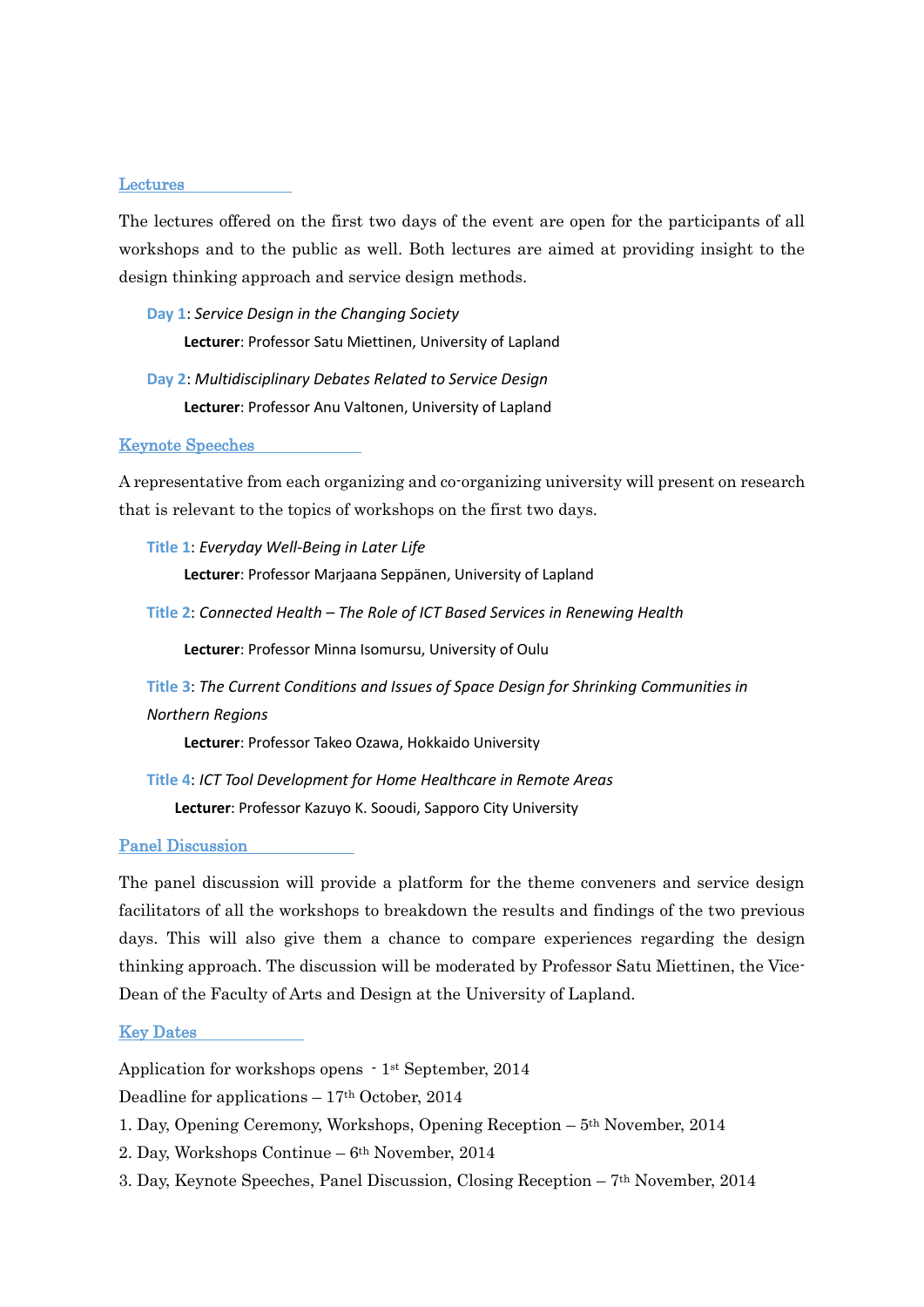### Lectures

The lectures offered on the first two days of the event are open for the participants of all workshops and to the public as well. Both lectures are aimed at providing insight to the design thinking approach and service design methods.

**Day 1**: *Service Design in the Changing Society* **Lecturer**: Professor Satu Miettinen, University of Lapland

**Day 2**: *Multidisciplinary Debates Related to Service Design* **Lecturer**: Professor Anu Valtonen, University of Lapland

### Keynote Speeches

A representative from each organizing and co-organizing university will present on research that is relevant to the topics of workshops on the first two days.

**Title 1**: *Everyday Well-Being in Later Life*

**Lecturer**: Professor Marjaana Seppänen, University of Lapland

**Title 2**: *Connected Health – The Role of ICT Based Services in Renewing Health*

**Lecturer**: Professor Minna Isomursu, University of Oulu

**Title 3**: *The Current Conditions and Issues of Space Design for Shrinking Communities in Northern Regions*

**Lecturer**: Professor Takeo Ozawa, Hokkaido University

**Title 4**: *ICT Tool Development for Home Healthcare in Remote Areas* **Lecturer**: Professor Kazuyo K. Sooudi, Sapporo City University

### Panel Discussion

The panel discussion will provide a platform for the theme conveners and service design facilitators of all the workshops to breakdown the results and findings of the two previous days. This will also give them a chance to compare experiences regarding the design thinking approach. The discussion will be moderated by Professor Satu Miettinen, the Vice-Dean of the Faculty of Arts and Design at the University of Lapland.

#### Key Dates

Application for workshops opens - 1st September, 2014

Deadline for applications  $-17<sup>th</sup>$  October, 2014

- 1. Day, Opening Ceremony, Workshops, Opening Reception 5th November, 2014
- 2. Day, Workshops Continue 6th November, 2014
- 3. Day, Keynote Speeches, Panel Discussion, Closing Reception  $7<sup>th</sup>$  November, 2014